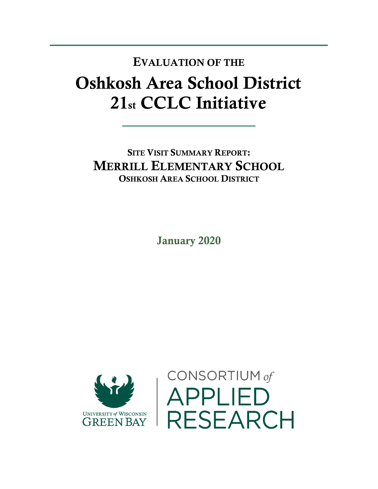## Oshkosh Area School District 21st CCLC Initiative EVALUATION OF THE

SITE VISIT SUMMARY REPORT: MERRILL ELEMENTARY SCHOOL OSHKOSH AREA SCHOOL DISTRICT

January 2020



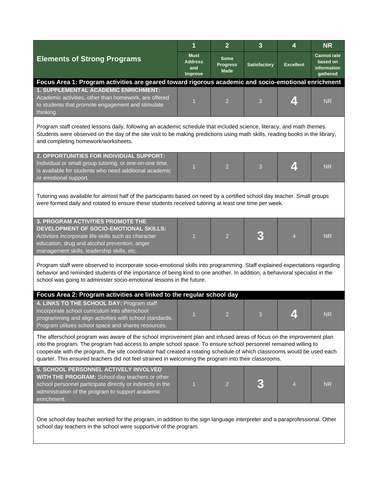|                                                                                                                                                                                                                                                                                                                                                                                                                                                                          | 1                                               | $\overline{2}$                                | $\mathbf{3}$ | 4                | <b>NR</b>                                                 |  |  |  |  |
|--------------------------------------------------------------------------------------------------------------------------------------------------------------------------------------------------------------------------------------------------------------------------------------------------------------------------------------------------------------------------------------------------------------------------------------------------------------------------|-------------------------------------------------|-----------------------------------------------|--------------|------------------|-----------------------------------------------------------|--|--|--|--|
| <b>Elements of Strong Programs</b>                                                                                                                                                                                                                                                                                                                                                                                                                                       | <b>Must</b><br><b>Address</b><br>and<br>Improve | <b>Some</b><br><b>Progress</b><br><b>Made</b> | Satisfactory | <b>Excellent</b> | <b>Cannot rate</b><br>based on<br>information<br>gathered |  |  |  |  |
| Focus Area 1: Program activities are geared toward rigorous academic and socio-emotional enrichment                                                                                                                                                                                                                                                                                                                                                                      |                                                 |                                               |              |                  |                                                           |  |  |  |  |
| 1. SUPPLEMENTAL ACADEMIC ENRICHMENT:<br>Academic activities, other than homework, are offered<br>to students that promote engagement and stimulate<br>thinking.                                                                                                                                                                                                                                                                                                          | $\overline{1}$                                  | $\overline{2}$                                | 3            |                  | <b>NR</b>                                                 |  |  |  |  |
| Program staff created lessons daily, following an academic schedule that included science, literacy, and math themes.<br>Students were observed on the day of the site visit to be making predictions using math skills, reading books in the library,<br>and completing homework/worksheets.                                                                                                                                                                            |                                                 |                                               |              |                  |                                                           |  |  |  |  |
| 2. OPPORTUNITIES FOR INDIVIDUAL SUPPORT:<br>Individual or small group tutoring, or one-on-one time,<br>is available for students who need additional academic<br>or emotional support.                                                                                                                                                                                                                                                                                   | $\overline{1}$                                  | $\overline{2}$                                | 3            |                  | <b>NR</b>                                                 |  |  |  |  |
| Tutoring was available for almost half of the participants based on need by a certified school day teacher. Small groups<br>were formed daily and rotated to ensure these students received tutoring at least one time per week.                                                                                                                                                                                                                                         |                                                 |                                               |              |                  |                                                           |  |  |  |  |
| <b>3. PROGRAM ACTIVITIES PROMOTE THE</b><br>DEVELOPMENT OF SOCIO-EMOTIONAL SKILLS:<br>Activities incorporate life-skills such as character<br>education, drug and alcohol prevention, anger<br>management skills, leadership skills, etc.                                                                                                                                                                                                                                | 1                                               | $\overline{2}$                                |              | $\overline{4}$   | <b>NR</b>                                                 |  |  |  |  |
| Program staff were observed to incorporate socio-emotional skills into programming. Staff explained expectations regarding<br>behavior and reminded students of the importance of being kind to one another. In addition, a behavioral specialist in the<br>school was going to administer socio-emotional lessons in the future.                                                                                                                                        |                                                 |                                               |              |                  |                                                           |  |  |  |  |
| Focus Area 2: Program activities are linked to the regular school day<br>4. LINKS TO THE SCHOOL DAY: Program staff<br>incorporate school curriculum into afterschool<br>programming and align activities with school standards.<br>Program utilizes school space and shares resources.                                                                                                                                                                                   | $\sim$                                          | $\overline{2}$                                |              |                  | <b>NR</b>                                                 |  |  |  |  |
| The afterschool program was aware of the school improvement plan and infused areas of focus on the improvement plan<br>into the program. The program had access to ample school space. To ensure school personnel remained willing to<br>cooperate with the program, the site coordinator had created a rotating schedule of which classrooms would be used each<br>quarter. This ensured teachers did not feel strained in welcoming the program into their classrooms. |                                                 |                                               |              |                  |                                                           |  |  |  |  |
| 5. SCHOOL PERSONNEL ACTIVELY INVOLVED<br>WITH THE PROGRAM: School-day teachers or other<br>school personnel participate directly or indirectly in the<br>administration of the program to support academic<br>enrichment.                                                                                                                                                                                                                                                | 1                                               | 2                                             |              | 4                | <b>NR</b>                                                 |  |  |  |  |
| One school day teacher worked for the program, in addition to the sign language interpreter and a paraprofessional. Other<br>school day teachers in the school were supportive of the program.                                                                                                                                                                                                                                                                           |                                                 |                                               |              |                  |                                                           |  |  |  |  |